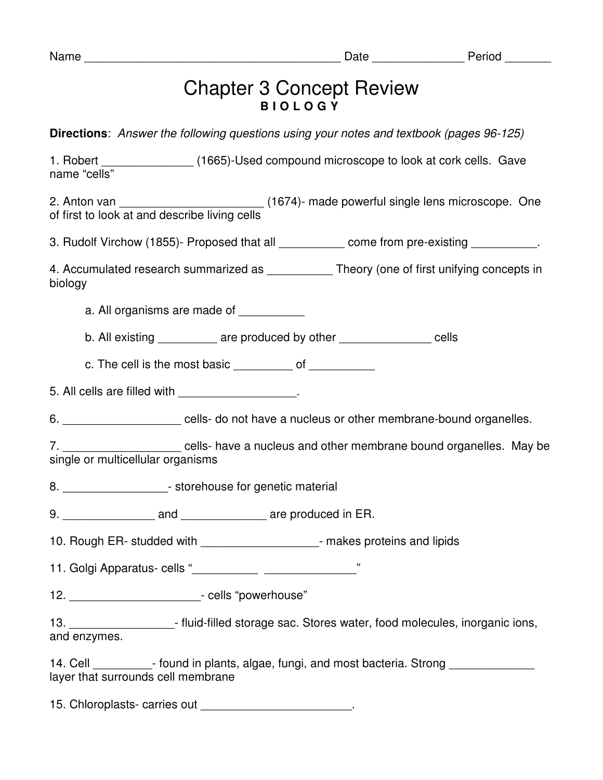| am<br>u |
|---------|
|---------|

## Chapter 3 Concept Review **B I O L O G Y**

**Directions**: Answer the following questions using your notes and textbook (pages 96-125)

1. Robert **1.** Conservant (1665)-Used compound microscope to look at cork cells. Gave name "cells"

2. Anton van \_\_\_\_\_\_\_\_\_\_\_\_\_\_\_\_\_\_\_\_\_\_\_\_\_\_\_\_\_(1674)- made powerful single lens microscope. One of first to look at and describe living cells

3. Rudolf Virchow (1855)- Proposed that all \_\_\_\_\_\_\_\_\_\_\_ come from pre-existing \_\_\_\_\_\_\_\_\_\_.

4. Accumulated research summarized as \_\_\_\_\_\_\_\_\_\_\_\_ Theory (one of first unifying concepts in biology

a. All organisms are made of

b. All existing example are produced by other the second cells

c. The cell is the most basic of  $\qquad \qquad$  of

5. All cells are filled with \_\_\_\_\_\_\_\_\_\_\_\_\_\_\_\_\_.

6. \_\_\_\_\_\_\_\_\_\_\_\_\_\_\_\_\_\_\_\_\_\_ cells- do not have a nucleus or other membrane-bound organelles.

7. \_\_\_\_\_\_\_\_\_\_\_\_\_\_\_\_\_\_ cells- have a nucleus and other membrane bound organelles. May be single or multicellular organisms

8.  $\blacksquare$  storehouse for genetic material

9. **and are produced in ER.** 

10. Rough ER- studded with **the contract of the student of the contract of the student of the student of the student of the student of the student of the student of the student of the student of the student of the student** 

11. Golgi Apparatus- cells "\_\_\_\_\_\_\_\_\_\_ \_\_\_\_\_\_\_\_\_\_\_\_\_\_"

12. \_\_\_\_\_\_\_\_\_\_\_\_\_\_\_\_\_\_\_\_- cells "powerhouse"

13. **Example 13.**  $\blacksquare$  - fluid-filled storage sac. Stores water, food molecules, inorganic ions, and enzymes.

14. Cell Figure 1. Found in plants, algae, fungi, and most bacteria. Strong layer that surrounds cell membrane

15. Chloroplasts- carries out **and the set of the set of the set of the set of the set of the set of the set of the set of the set of the set of the set of the set of the set of the set of the set of the set of the set of**